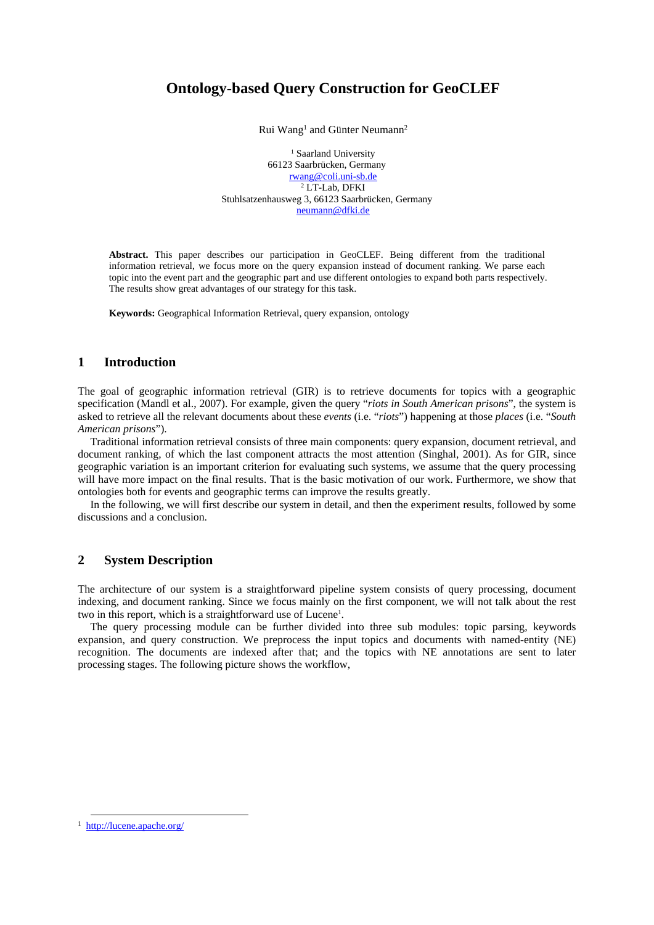# **Ontology-based Query Construction for GeoCLEF**

Rui Wang<sup>1</sup> and Günter Neumann<sup>2</sup>

<sup>1</sup> Saarland University 66123 Saarbrücken, Germany rwang@coli.uni-sb.de 2 LT-Lab, DFKI Stuhlsatzenhausweg 3, 66123 Saarbrücken, Germany neumann@dfki.de

**Abstract.** This paper describes our participation in GeoCLEF. Being different from the traditional information retrieval, we focus more on the query expansion instead of document ranking. We parse each topic into the event part and the geographic part and use different ontologies to expand both parts respectively. The results show great advantages of our strategy for this task.

**Keywords:** Geographical Information Retrieval, query expansion, ontology

### **1 Introduction**

The goal of geographic information retrieval (GIR) is to retrieve documents for topics with a geographic specification (Mandl et al., 2007). For example, given the query "*riots in South American prisons*", the system is asked to retrieve all the relevant documents about these *events* (i.e. "*riots*") happening at those *places* (i.e. "*South American prisons*").

Traditional information retrieval consists of three main components: query expansion, document retrieval, and document ranking, of which the last component attracts the most attention (Singhal, 2001). As for GIR, since geographic variation is an important criterion for evaluating such systems, we assume that the query processing will have more impact on the final results. That is the basic motivation of our work. Furthermore, we show that ontologies both for events and geographic terms can improve the results greatly.

In the following, we will first describe our system in detail, and then the experiment results, followed by some discussions and a conclusion.

## **2 System Description**

The architecture of our system is a straightforward pipeline system consists of query processing, document indexing, and document ranking. Since we focus mainly on the first component, we will not talk about the rest two in this report, which is a straightforward use of Lucene<sup>1</sup>.

The query processing module can be further divided into three sub modules: topic parsing, keywords expansion, and query construction. We preprocess the input topics and documents with named-entity (NE) recognition. The documents are indexed after that; and the topics with NE annotations are sent to later processing stages. The following picture shows the workflow,

 <sup>1</sup> http://lucene.apache.org/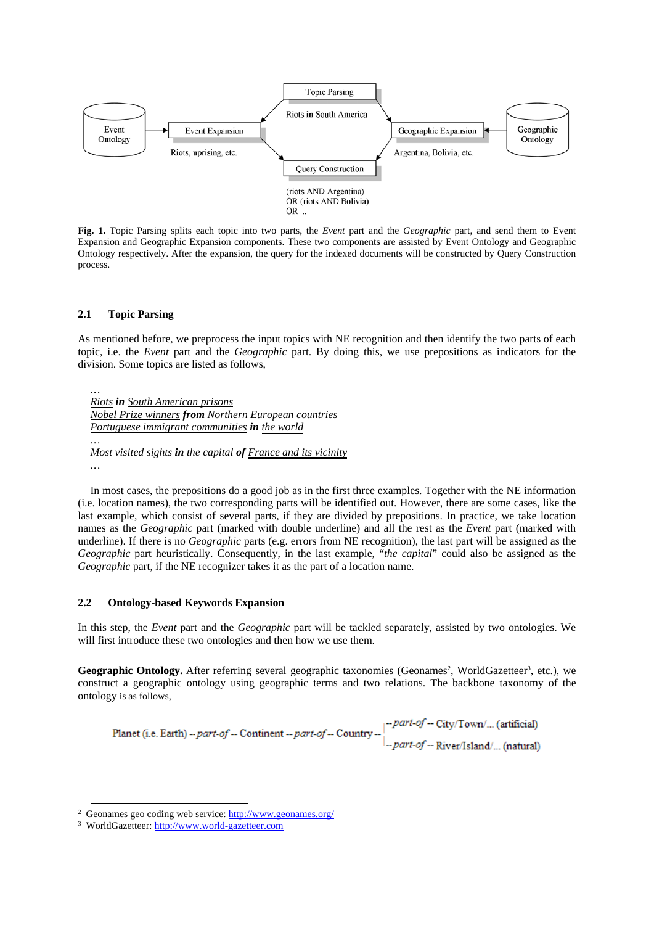

**Fig. 1.** Topic Parsing splits each topic into two parts, the *Event* part and the *Geographic* part, and send them to Event Expansion and Geographic Expansion components. These two components are assisted by Event Ontology and Geographic Ontology respectively. After the expansion, the query for the indexed documents will be constructed by Query Construction process.

#### **2.1 Topic Parsing**

*…* 

As mentioned before, we preprocess the input topics with NE recognition and then identify the two parts of each topic, i.e. the *Event* part and the *Geographic* part. By doing this, we use prepositions as indicators for the division. Some topics are listed as follows,

*… Riots in South American prisons Nobel Prize winners from Northern European countries Portuguese immigrant communities in the world*

*Most visited sights in the capital of France and its vicinity*

In most cases, the prepositions do a good job as in the first three examples. Together with the NE information (i.e. location names), the two corresponding parts will be identified out. However, there are some cases, like the last example, which consist of several parts, if they are divided by prepositions. In practice, we take location names as the *Geographic* part (marked with double underline) and all the rest as the *Event* part (marked with underline). If there is no *Geographic* parts (e.g. errors from NE recognition), the last part will be assigned as the *Geographic* part heuristically. Consequently, in the last example, "*the capital*" could also be assigned as the *Geographic* part, if the NE recognizer takes it as the part of a location name.

#### **2.2 Ontology-based Keywords Expansion**

In this step, the *Event* part and the *Geographic* part will be tackled separately, assisted by two ontologies. We will first introduce these two ontologies and then how we use them.

Geographic Ontology. After referring several geographic taxonomies (Geonames<sup>2</sup>, WorldGazetteer<sup>3</sup>, etc.), we construct a geographic ontology using geographic terms and two relations. The backbone taxonomy of the ontology is as follows,

-- part-of -- City/Town/... (artificial) Planet (i.e. Earth) -- part-of -- Continent -- part-of -- Country -part-of -- River/Island/... (natural)

 <sup>2</sup> Geonames geo coding web service: http://www.geonames.org/

<sup>3</sup> WorldGazetteer: http://www.world-gazetteer.com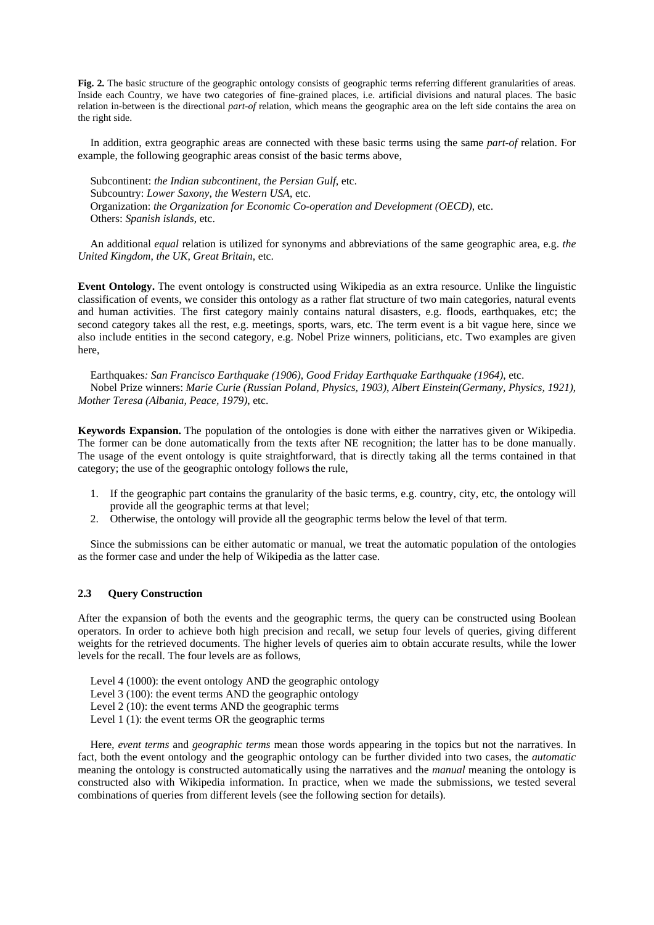**Fig. 2.** The basic structure of the geographic ontology consists of geographic terms referring different granularities of areas. Inside each Country, we have two categories of fine-grained places, i.e. artificial divisions and natural places. The basic relation in-between is the directional *part-of* relation, which means the geographic area on the left side contains the area on the right side.

In addition, extra geographic areas are connected with these basic terms using the same *part-of* relation. For example, the following geographic areas consist of the basic terms above,

Subcontinent: *the Indian subcontinent*, *the Persian Gulf*, etc. Subcountry: *Lower Saxony*, *the Western USA*, etc. Organization: *the Organization for Economic Co-operation and Development (OECD)*, etc. Others: *Spanish islands*, etc.

An additional *equal* relation is utilized for synonyms and abbreviations of the same geographic area, e.g. *the United Kingdom*, *the UK*, *Great Britain*, etc.

**Event Ontology.** The event ontology is constructed using Wikipedia as an extra resource. Unlike the linguistic classification of events, we consider this ontology as a rather flat structure of two main categories, natural events and human activities. The first category mainly contains natural disasters, e.g. floods, earthquakes, etc; the second category takes all the rest, e.g. meetings, sports, wars, etc. The term event is a bit vague here, since we also include entities in the second category, e.g. Nobel Prize winners, politicians, etc. Two examples are given here,

Earthquakes*: San Francisco Earthquake (1906)*, *Good Friday Earthquake Earthquake (1964)*, etc. Nobel Prize winners: *Marie Curie (Russian Poland, Physics, 1903)*, *Albert Einstein(Germany, Physics, 1921)*, *Mother Teresa (Albania, Peace, 1979)*, etc.

**Keywords Expansion.** The population of the ontologies is done with either the narratives given or Wikipedia. The former can be done automatically from the texts after NE recognition; the latter has to be done manually. The usage of the event ontology is quite straightforward, that is directly taking all the terms contained in that category; the use of the geographic ontology follows the rule,

- 1. If the geographic part contains the granularity of the basic terms, e.g. country, city, etc, the ontology will provide all the geographic terms at that level;
- 2. Otherwise, the ontology will provide all the geographic terms below the level of that term.

Since the submissions can be either automatic or manual, we treat the automatic population of the ontologies as the former case and under the help of Wikipedia as the latter case.

#### **2.3 Query Construction**

After the expansion of both the events and the geographic terms, the query can be constructed using Boolean operators. In order to achieve both high precision and recall, we setup four levels of queries, giving different weights for the retrieved documents. The higher levels of queries aim to obtain accurate results, while the lower levels for the recall. The four levels are as follows,

Level 4 (1000): the event ontology AND the geographic ontology

- Level 3 (100): the event terms AND the geographic ontology
- Level 2 (10): the event terms AND the geographic terms

Level 1 (1): the event terms OR the geographic terms

Here*, event terms* and *geographic terms* mean those words appearing in the topics but not the narratives. In fact, both the event ontology and the geographic ontology can be further divided into two cases, the *automatic* meaning the ontology is constructed automatically using the narratives and the *manual* meaning the ontology is constructed also with Wikipedia information. In practice, when we made the submissions, we tested several combinations of queries from different levels (see the following section for details).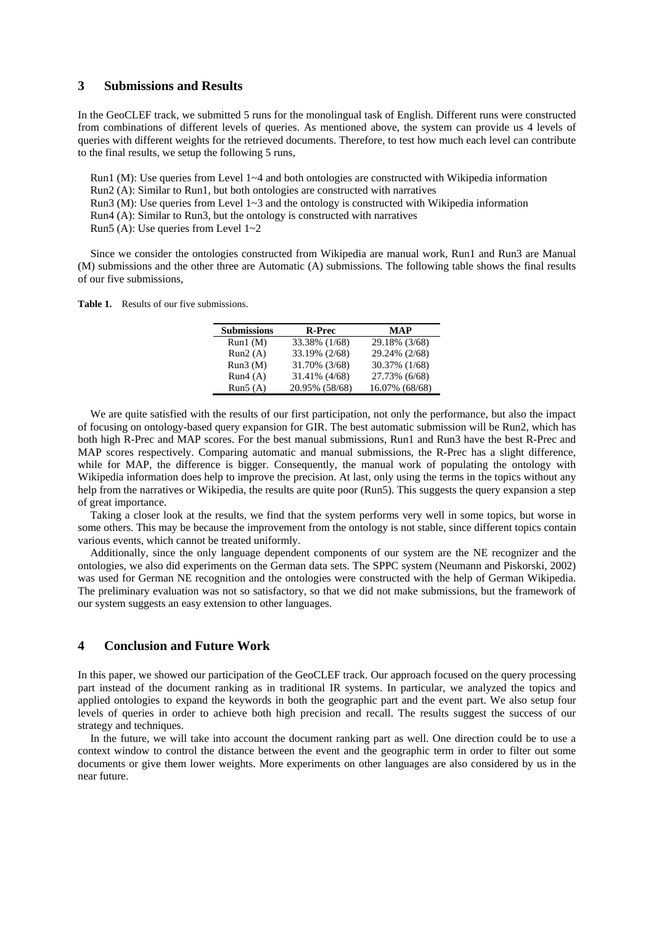### **3 Submissions and Results**

In the GeoCLEF track, we submitted 5 runs for the monolingual task of English. Different runs were constructed from combinations of different levels of queries. As mentioned above, the system can provide us 4 levels of queries with different weights for the retrieved documents. Therefore, to test how much each level can contribute to the final results, we setup the following 5 runs,

Run1 (M): Use queries from Level 1~4 and both ontologies are constructed with Wikipedia information

Run2 (A): Similar to Run1, but both ontologies are constructed with narratives

Run3 (M): Use queries from Level  $1~3$  and the ontology is constructed with Wikipedia information

Run4 (A): Similar to Run3, but the ontology is constructed with narratives

Run5 (A): Use queries from Level 1~2

Since we consider the ontologies constructed from Wikipedia are manual work, Run1 and Run3 are Manual (M) submissions and the other three are Automatic (A) submissions. The following table shows the final results of our five submissions,

**Table 1.** Results of our five submissions.

| <b>Submissions</b> | R-Prec         | <b>MAP</b>     |
|--------------------|----------------|----------------|
| Run1(M)            | 33.38% (1/68)  | 29.18% (3/68)  |
| Run2(A)            | 33.19% (2/68)  | 29.24% (2/68)  |
| Run3(M)            | 31.70% (3/68)  | 30.37% (1/68)  |
| Run4(A)            | 31.41% (4/68)  | 27.73% (6/68)  |
| Run5(A)            | 20.95% (58/68) | 16.07% (68/68) |

We are quite satisfied with the results of our first participation, not only the performance, but also the impact of focusing on ontology-based query expansion for GIR. The best automatic submission will be Run2, which has both high R-Prec and MAP scores. For the best manual submissions, Run1 and Run3 have the best R-Prec and MAP scores respectively. Comparing automatic and manual submissions, the R-Prec has a slight difference, while for MAP, the difference is bigger. Consequently, the manual work of populating the ontology with Wikipedia information does help to improve the precision. At last, only using the terms in the topics without any help from the narratives or Wikipedia, the results are quite poor (Run5). This suggests the query expansion a step of great importance.

Taking a closer look at the results, we find that the system performs very well in some topics, but worse in some others. This may be because the improvement from the ontology is not stable, since different topics contain various events, which cannot be treated uniformly.

Additionally, since the only language dependent components of our system are the NE recognizer and the ontologies, we also did experiments on the German data sets. The SPPC system (Neumann and Piskorski, 2002) was used for German NE recognition and the ontologies were constructed with the help of German Wikipedia. The preliminary evaluation was not so satisfactory, so that we did not make submissions, but the framework of our system suggests an easy extension to other languages.

### **4 Conclusion and Future Work**

In this paper, we showed our participation of the GeoCLEF track. Our approach focused on the query processing part instead of the document ranking as in traditional IR systems. In particular, we analyzed the topics and applied ontologies to expand the keywords in both the geographic part and the event part. We also setup four levels of queries in order to achieve both high precision and recall. The results suggest the success of our strategy and techniques.

In the future, we will take into account the document ranking part as well. One direction could be to use a context window to control the distance between the event and the geographic term in order to filter out some documents or give them lower weights. More experiments on other languages are also considered by us in the near future.